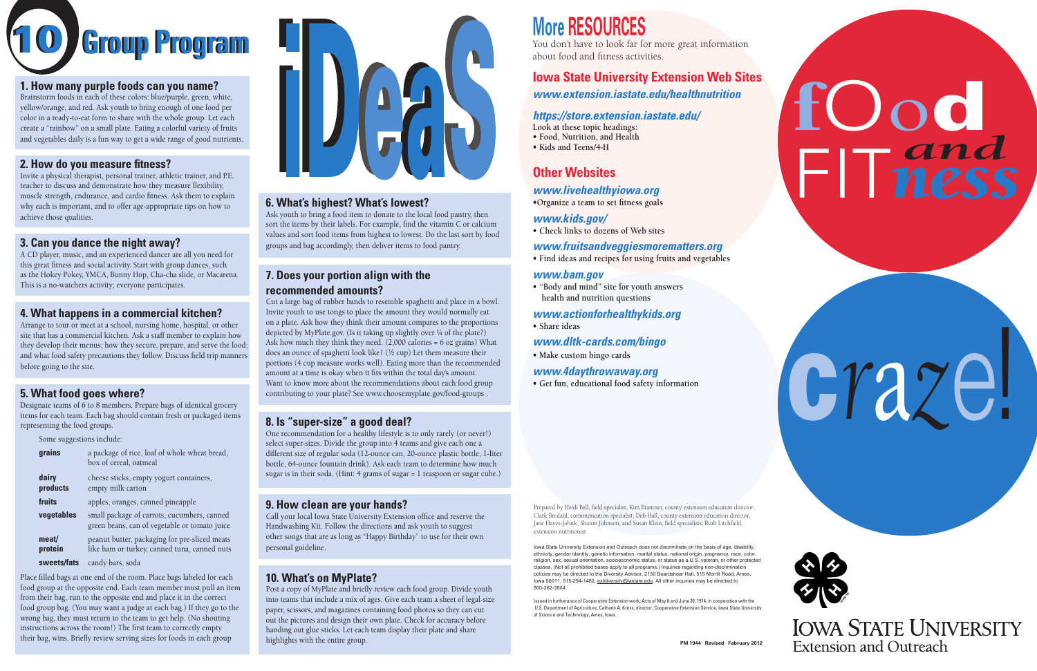## **More RESOURCES**

You don't have to look far for more great information about food and fitness activities.

#### **Iowa State University Extension Web Sites** *<www.extension.iastate.edu/healthnutrition>*

#### *[https://store.extension.iastate.edu/](https://store.extension.iastate.edu)*

**Look at these topic headings:**

- **• Food, Nutrition, and Health**
- **• Kids and Teens/4-H**

#### **Other Websites**

#### *[www.livehealthyiowa.org](https://www.livehealthyiowa.org)*

**•Organize a team to set fitness goals**

#### *[www.kids.gov/](https://www.usa.gov/education?source=kids)*

**• Check links to dozens of Web sites**

#### *<www.fruitsandveggiesmorematters.org>*

**• Find ideas and recipes for using fruits and vegetables**

#### *[www.bam.gov](https://www.cdc.gov/healthyschools/bam/teachers.htm)*

**• "Body and mind" site for youth answers health and nutrition questions**

#### *[www.actionforhealthykids.org](https://www.actionforhealthykids.org)*

**• Share ideas**

#### *[www.dltk-cards.com/bingo](http://www.dltk-cards.com/bingo/)*

**• Make custom bingo cards**

#### *<www.4daythrowaway.org>*

**• Get fun, educational food safety information**

Iowa State University Extension and Outreach does not discriminate on the basis of age, disability, ethnicity, gender identity, genetic information, marital status, national origin, pregnancy, race, color, religion, sex, sexual orientation, socioeconomic status, or status as a U.S. veteran, or other protected classes. (Not all prohibited bases apply to all programs.) Inquiries regarding non-discrimination policies may be directed to the Diversity Advisor, 2150 Beardshear Hall, 515 Morrill Road, Ames, Iowa 50011, 515-294-1482, [extdiversity@iastate.edu.](mailto:extdiversity@iastate.edu) All other inquiries may be directed to 800-262-3804.

Prepared by Heidi Bell, field specialist; Kim Brantner, county extension education director; Clark Bredahl, communication specialist; Deb Hall, county extension education director; Jane Hayes-Johnk, Sharon Johnson, and Susan Klein, field specialists; Ruth Litchfield, extension nutritionist.

Issued in furtherance of Cooperative Extension work, Acts of May 8 and June 30, 1914, in cooperation with the U.S. Department of Agriculture. Cathann A. Kress, director, Cooperative Extension Service, Iowa State University of Science and Technology, Ames, Iowa.

#### **6. What's highest? What's lowest?**

Ask youth to bring a food item to donate to the local food pantry, then sort the items by their labels. For example, find the vitamin C or calcium values and sort food items from highest to lowest. Do the last sort by food groups and bag accordingly, then deliver items to food pantry.

#### **7. Does your portion align with the recommended amounts?**

Cut a large bag of rubber bands to resemble spaghetti and place in a bowl. Invite youth to use tongs to place the amount they would normally eat on a plate. Ask how they think their amount compares to the proportions depicted by MyPlate.gov. (Is it taking up slightly over  $\frac{1}{4}$  of the plate?) Ask how much they think they need. (2,000 calories = 6 oz grains) What does an ounce of spaghetti look like? (½ cup) Let them measure their portions (4 cup measure works well). Eating more than the recommended amount at a time is okay when it fits within the total day's amount. Want to know more about the recommendations about each food group contributing to your plate? See [www.choosemyplate.gov/food-groups](https://www.choosemyplate.gov/food-groups) .

#### **8. Is "super-size" a good deal?**

One recommendation for a healthy lifestyle is to only rarely (or never!) select super-sizes. Divide the group into 4 teams and give each one a different size of regular soda (12-ounce can, 20-ounce plastic bottle, 1-liter bottle, 64-ounce fountain drink). Ask each team to determine how much sugar is in their soda. (Hint: 4 grams of sugar = 1 teaspoon or sugar cube.)

#### **9. How clean are your hands?**

Call your local Iowa State University Extension office and reserve the Handwashing Kit. Follow the directions and ask youth to suggest other songs that are as long as "Happy Birthday" to use for their own personal guideline.

#### **10. What's on MyPlate?**

Post a copy of MyPlate and briefly review each food group. Divide youth into teams that include a mix of ages. Give each team a sheet of legal-size paper, scissors, and magazines containing food photos so they can cut out the pictures and design their own plate. Check for accuracy before handing out glue sticks. Let each team display their plate and share highlights with the entire group.

#### **1. How many purple foods can you name?**

Brainstorm foods in each of these colors: blue/purple, green, white, yellow/orange, and red. Ask youth to bring enough of one food per color in a ready-to-eat form to share with the whole group. Let each create a "rainbow" on a small plate. Eating a colorful variety of fruits and vegetables daily is a fun way to get a wide range of good nutrients.

#### **2. How do you measure fitness?**

Invite a physical therapist, personal trainer, athletic trainer, and P.E. teacher to discuss and demonstrate how they measure flexibility, muscle strength, endurance, and cardio fitness. Ask them to explain why each is important, and to offer age-appropriate tips on how to achieve those qualities.

#### **3. Can you dance the night away?**

A CD player, music, and an experienced dancer are all you need for this great fitness and social activity. Start with group dances, such as the Hokey Pokey, YMCA, Bunny Hop, Cha-cha slide, or Macarena. This is a no-watchers activity; everyone participates.

#### **4. What happens in a commercial kitchen?**

Arrange to tour or meet at a school, nursing home, hospital, or other site that has a commercial kitchen. Ask a staff member to explain how they develop their menus; how they secure, prepare, and serve the food; and what food safety precautions they follow. Discuss field trip manners before going to the site.

#### **5. What food goes where?**

Designate teams of 6 to 8 members. Prepare bags of identical grocery items for each team. Each bag should contain fresh or packaged items representing the food groups.

| Some suggestions include: |                                                                                               |
|---------------------------|-----------------------------------------------------------------------------------------------|
| grains                    | a package of rice, loaf of whole wheat bread,<br>box of cereal, oatmeal                       |
| dairy<br>products         | cheese sticks, empty yogurt containers,<br>empty milk carton                                  |
| fruits                    | apples, oranges, canned pineapple                                                             |
| vegetables                | small package of carrots, cucumbers, canned<br>green beans, can of vegetable or tomato juice  |
| meat/<br>protein          | peanut butter, packaging for pre-sliced meats<br>like ham or turkey, canned tuna, canned nuts |
| sweets/fats               | candy bars, soda                                                                              |

Place filled bags at one end of the room. Place bags labeled for each food group at the opposite end. Each team member must pull an item from their bag, run to the opposite end and place it in the correct food group bag. (You may want a judge at each bag.) If they go to the wrong bag, they must return to the team to get help. (No shouting instructions across the room!) The first team to correctly empty their bag, wins. Briefly review serving sizes for foods in each group.



10 **Group Program Group Program**

# fOod FIT*ness and*

# c*r*a*z*e!



**IOWA STATE UNIVERSITY Extension and Outreach**